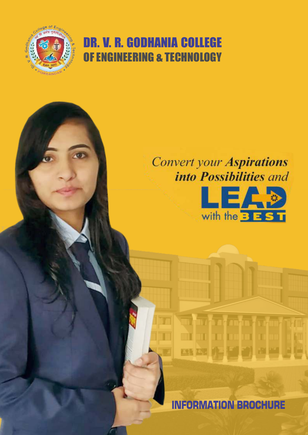

## DR. V. R. GODHANIA COLLEGE OF ENGINEERING & TECHNOLOGY

# **Convert your Aspirations**<br> *into Possibilities and*



INFORMATION BROCHURE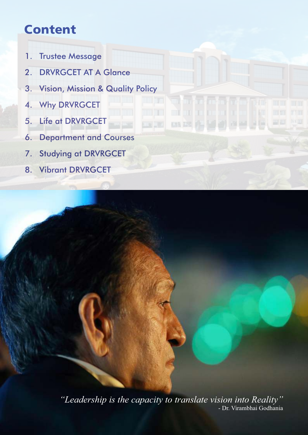## Content

- 1. Trustee Message
- 2. DRVRGCET AT A Glance
- 3. Vision, Mission & Quality Policy
- 4. Why DRVRGCET
- 5. Life at DRVRGCET
- 6. Department and Courses
- 7. Studying at DRVRGCET
- 8. Vibrant DRVRGCET

*"Leadership is the capacity to translate vision into Reality"* - Dr. Virambhai Godhania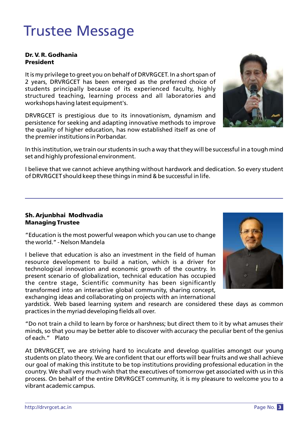## Trustee Message

### Dr. V. R. Godhania President

It is my privilege to greet you on behalf of DRVRGCET. In a short span of 2 years, DRVRGCET has been emerged as the preferred choice of students principally because of its experienced faculty, highly structured teaching, learning process and all laboratories and workshops having latest equipment's.

DRVRGCET is prestigious due to its innovationism, dynamism and persistence for seeking and adapting innovative methods to improve the quality of higher education, has now established itself as one of the premier institutions in Porbandar.



I believe that we cannot achieve anything without hardwork and dedication. So every student of DRVRGCET should keep these things in mind & be successful in life.

### Sh. Arjunbhai Modhvadia Managing Trustee

"Education is the most powerful weapon which you can use to change the world." - Nelson Mandela

I believe that education is also an investment in the field of human resource development to build a nation, which is a driver for technological innovation and economic growth of the country. In present scenario of globalization, technical education has occupied the centre stage, Scientific community has been significantly transformed into an interactive global community, sharing concept, exchanging ideas and collaborating on projects with an international

yardstick. Web based learning system and research are considered these days as common practices in the myriad developing fields all over.

"Do not train a child to learn by force or harshness; but direct them to it by what amuses their minds, so that you may be better able to discover with accuracy the peculiar bent of the genius of each." Plato

At DRVRGCET, we are striving hard to inculcate and develop qualities amongst our young students on plato theory. We are confident that our efforts will bear fruits and we shall achieve our goal of making this institute to be top institutions providing professional education in the country. We shall very much wish that the executives of tomorrow get associated with us in this process. On behalf of the entire DRVRGCET community, it is my pleasure to welcome you to a vibrant academic campus.



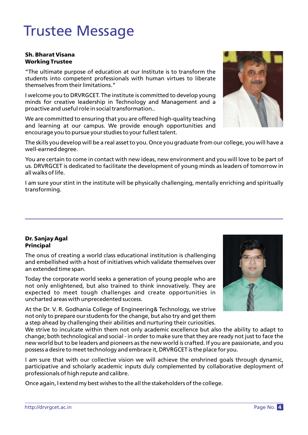## Trustee Message

#### Sh. Bharat Visana Working Trustee

"The ultimate purpose of education at our Institute is to transform the students into competent professionals with human virtues to liberate themselves from their limitations."

I welcome you to DRVRGCET. The institute is committed to develop young minds for creative leadership in Technology and Management and a proactive and useful role in social transformation..

We are committed to ensuring that you are offered high-quality teaching and learning at our campus. We provide enough opportunities and encourage you to pursue your studies to your fullest talent.

The skills you develop will be a real asset to you. Once you graduate from our college, you will have a well-earned degree.

You are certain to come in contact with new ideas, new environment and you will love to be part of us. DRVRGCET is dedicated to facilitate the development of young minds as leaders of tomorrow in all walks of life.

I am sure your stint in the institute will be physically challenging, mentally enriching and spiritually transforming.

### Dr. Sanjay Agal Principal

The onus of creating a world class educational institution is challenging and embellished with a host of initiatives which validate themselves over an extended time span.

Today the corporate world seeks a generation of young people who are not only enlightened, but also trained to think innovatively. They are expected to meet tough challenges and create opportunities in uncharted areas with unprecedented success.

At the Dr. V. R. Godhania College of Engineering& Technology, we strive not only to prepare our students for the change, but also try and get them a step ahead by challenging their abilities and nurturing their curiosities.

We strive to inculcate within them not only academic excellence but also the ability to adapt to change; both technological and social - in order to make sure that they are ready not just to face the new world but to be leaders and pioneers as the new world is crafted. If you are passionate, and you possess a desire to meet technology and embrace it, DRVRGCET is the place for you.

I am sure that with our collective vision we will achieve the enshrined goals through dynamic, participative and scholarly academic inputs duly complemented by collaborative deployment of professionals of high repute and calibre.

Once again, I extend my best wishes to the all the stakeholders of the college.



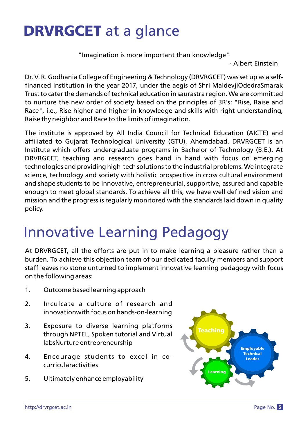## DRVRGCET at a glance

"Imagination is more important than knowledge"

- Albert Einstein

Dr. V. R. Godhania College of Engineering & Technology (DRVRGCET) was set up as a self financed institution in the year 2017, under the aegis of Shri MaldevjiOdedraSmarak Trust to cater the demands of technical education in saurastra region. We are committed to nurture the new order of society based on the principles of 3R's: "Rise, Raise and Race", i.e., Rise higher and higher in knowledge and skills with right understanding, Raise thy neighbor and Race to the limits of imagination.

The institute is approved by All India Council for Technical Education (AICTE) and affiliated to Gujarat Technological University (GTU), Ahemdabad. DRVRGCET is an Institute which offers undergraduate programs in Bachelor of Technology (B.E.). At DRVRGCET, teaching and research goes hand in hand with focus on emerging technologies and providing high-tech solutions to the industrial problems. We integrate science, technology and society with holistic prospective in cross cultural environment and shape students to be innovative, entrepreneurial, supportive, assured and capable enough to meet global standards. To achieve all this, we have well defined vision and mission and the progress is regularly monitored with the standards laid down in quality policy.

## Innovative Learning Pedagogy

At DRVRGCET, all the efforts are put in to make learning a pleasure rather than a burden. To achieve this objection team of our dedicated faculty members and support staff leaves no stone unturned to implement innovative learning pedagogy with focus on the following areas:

- 1. Outcome based learning approach
- 2. Inculcate a culture of research and innovationwith focus on hands-on-learning
- 3. Exposure to diverse learning platforms through NPTEL, Spoken tutorial and Virtual labsNurture entrepreneurship
- 4. Encourage students to excel in cocurricularactivities
- 5. Ultimately enhance employability

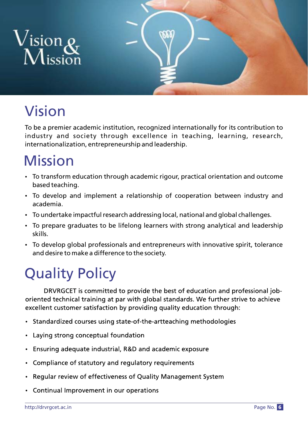

## Vision

To be a premier academic institution, recognized internationally for its contribution to industry and society through excellence in teaching, learning, research, internationalization, entrepreneurship and leadership.

## Mission

- To transform education through academic rigour, practical orientation and outcome based teaching.
- To develop and implement a relationship of cooperation between industry and academia.
- To undertake impactful research addressing local, national and global challenges.
- To prepare graduates to be lifelong learners with strong analytical and leadership skills.
- To develop global professionals and entrepreneurs with innovative spirit, tolerance and desire to make a difference to the society.

## **Quality Policy**

DRVRGCET is committed to provide the best of education and professional joboriented technical training at par with global standards. We further strive to achieve excellent customer satisfaction by providing quality education through:

- Standardized courses using state-of-the-artteaching methodologies
- Laying strong conceptual foundation
- Ensuring adequate industrial, R&D and academic exposure  $\bullet$
- Compliance of statutory and regulatory requirements
- Regular review of effectiveness of Quality Management System
- Continual Improvement in our operations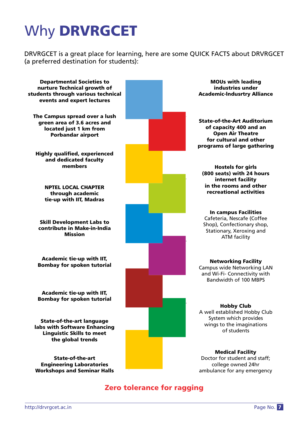## Why DRVRGCET

DRVRGCET is a great place for learning, here are some QUICK FACTS about DRVRGCET (a preferred destination for students):

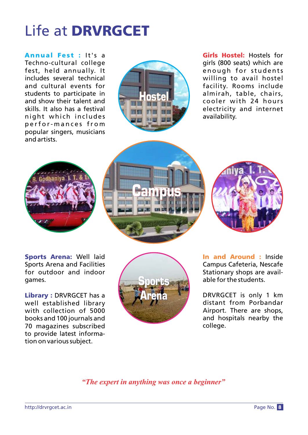## Life at DRVRGCET

Annual Fest : It's a Techno-cultural college fest, held annually. It includes several technical and cultural events for students to participate in and show their talent and skills. It also has a festival night which includes p e rf o r- m a n c e s fr o m popular singers, musicians and artists.



Girls Hostel: Hostels for girls (800 seats) which are enough for students willing to avail hostel facility. Rooms include almirah, table, chairs, cooler with 24 hours electricity and internet availability.







Sports Arena: Well laid Sports Arena and Facilities for outdoor and indoor games.

Library : DRVRGCET has a well established library with collection of 5000 books and 100 journals and 70 magazines subscribed to provide latest information on various subject.



In and Around : Inside Campus Cafeteria, Nescafe Stationary shops are available for the students.

DRVRGCET is only 1 km distant from Porbandar Airport. There are shops, and hospitals nearby the college.

*"The expert in anything was once a beginner"*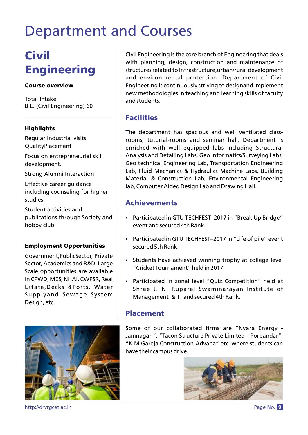## **Civil Engineering**

### Course overview

Total Intake B.E. (Civil Engineering) 60

### **Highlights**

Regular Industrial visits QualityPlacement

Focus on entrepreneurial skill development.

Strong Alumni Interaction

Effective career guidance including counseling for higher studies

Student activities and publications through Society and hobby club

### Employment Opportunities

Government,PublicSector, Private Sector, Academics and R&D. Large Scale opportunities are available in CPWD, MES, NHAI, CWPSR, Real Estate,Decks &Ports, Water Supplyand Sewage System Design, etc.



Civil Engineering is the core branch of Engineering that deals with planning, design, construction and maintenance of structures related to Infrastructure,urban/rural development and environmental protection. Department of Civil Engineering is continuously striving to designand implement new methodologies in teaching and learning skills of faculty and students.

## Facilities

The department has spacious and well ventilated classrooms, tutorial-rooms and seminar hall. Department is enriched with well equipped labs including Structural Analysis and Detailing Labs, Geo Informatics/Surveying Labs, Geo technical Engineering Lab, Transportation Engineering Lab, Fluid Mechanics & Hydraulics Machine Labs, Building Material & Construction Lab, Environmental Engineering lab, Computer Aided Design Lab and Drawing Hall.

## Achievements

- Participated in GTU TECHFEST-2017 in "Break Up Bridge" event and secured 4th Rank.
- Participated in GTU TECHFEST-2017 in "Life of pile" event secured 5th Rank.
- Students have achieved winning trophy at college level "Cricket Tournament" held in 2017.
- Participated in zonal level "Ouiz Competition" held at Shree J. N. Ruparel Swaminarayan Institute of Management & IT and secured 4th Rank.

## Placement

Some of our collaborated firms are "Nyara Energy -Jamnagar ", "Tacon Structure Private Limited – Porbandar", "K.M.Gareja Construction-Advana" etc. where students can have their campus drive.



http://drvrgcet.ac.in **Page No. 9**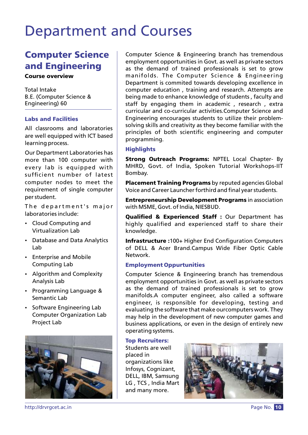## Computer Science and Engineering

### Course overview

Total Intake B.E. (Computer Science & Engineering) 60

### Labs and Facilities

All classrooms and laboratories are well equipped with ICT based learning process.

Our Department Laboratories has more than 100 computer with every lab is equipped with sufficient number of latest computer nodes to meet the requirement of single computer per student.

The department's major laboratories include:

- Cloud Computing and Virtualization Lab
- Database and Data Analytics Lab
- Enterprise and Mobile Computing Lab
- Algorithm and Complexity Analysis Lab
- Programming Language & Semantic Lab
- Software Engineering Lab Computer Organization Lab Project Lab



Computer Science & Engineering branch has tremendous employment opportunities in Govt. as well as private sectors as the demand of trained professionals is set to grow manifolds. The Computer Science & Engineering Department is commited towards developing excellence in computer education , training and research. Attempts are being made to enhance knowledge of students , faculty and staff by engaging them in academic , research , extra curricular and co-curricular activities.Computer Science and Engineering encourages students to utilize their problemsolving skills and creativity as they become familiar with the principles of both scientific engineering and computer programming.

### **Highlights**

Strong Outreach Programs: NPTEL Local Chapter- By MHRD, Govt. of India, Spoken Tutorial Workshops-IIT Bombay.

Placement Training Programs by reputed agencies Global Voice and Career Launcher forthird and final year students.

Entrepreneurship Development Programs in association with MSME, Govt. of India, NIESBUD.

Qualified & Experienced Staff : Our Department has highly qualified and experienced staff to share their knowledge.

Infrastructure : 100+ Higher End Configuration Computers of DELL & Acer Brand.Campus Wide Fiber Optic Cable Network.

### Employment Oppurtunities

Computer Science & Engineering branch has tremendous employment opportunities in Govt. as well as private sectors as the demand of trained professionals is set to grow manifolds.A computer engineer, also called a software engineer, is responsible for developing, testing and evaluating the software that make ourcomputers work. They may help in the development of new computer games and business applications, or even in the design of entirely new operating systems.

### Top Recruiters:

Students are well placed in organizations like Infosys, Cognizant, DELL, IBM, Samsung LG , TCS , India Mart and many more.



http://drvrgcet.ac.in Page No. 10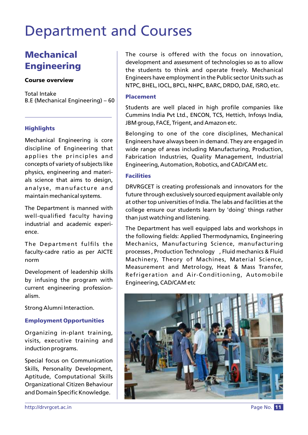## **Mechanical Engineering**

#### Course overview

Total Intake B.E (Mechanical Engineering) – 60

### **Highlights**

Mechanical Engineering is core discipline of Engineering that applies the principles and concepts of variety of subjects like physics, engineering and materials science that aims to design, analyse, manufacture and maintain mechanical systems.

The Department is manned with well-qualified faculty having industrial and academic experience.

The Department fulfils the faculty-cadre ratio as per AICTE norm

Development of leadership skills by infusing the program with current engineering professionalism.

Strong Alumni Interaction.

### Employment Opportunities

Organizing in-plant training, visits, executive training and induction programs.

Special focus on Communication Skills, Personality Development, Aptitude, Computational Skills Organizational Citizen Behaviour and Domain Specific Knowledge.

http://drvrgcet.ac.in

The course is offered with the focus on innovation, development and assessment of technologies so as to allow the students to think and operate freely. Mechanical Engineers have employment in the Public sector Units such as NTPC, BHEL, IOCL, BPCL, NHPC, BARC, DRDO, DAE, ISRO, etc.

### Placement

Students are well placed in high profile companies like Cummins India Pvt Ltd., ENCON, TCS, Hettich, Infosys India, JBM group, FACE, Trigent, and Amazon etc.

Belonging to one of the core disciplines, Mechanical Engineers have always been in demand. They are engaged in wide range of areas including Manufacturing, Production, Fabrication Industries, Quality Management, Industrial Engineering, Automation, Robotics, and CAD/CAM etc.

### Facilities

DRVRGCET is creating professionals and innovators for the future through exclusively sourced equipment available only at other top universities of India. The labs and facilities at the college ensure our students learn by 'doing' things rather than just watching and listening.

The Department has well equipped labs and workshops in the following fields: Applied Thermodynamics, Engineering Mechanics, Manufacturing Science, manufacturing processes , Production Technology , Fluid mechanics & Fluid Machinery, Theory of Machines, Material Science, Measurement and Metrology, Heat & Mass Transfer, Refrigeration and Air-Conditioning, Automobile Engineering, CAD/CAM etc



Page No. 11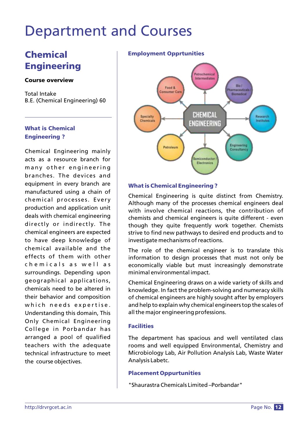## Chemical **Engineering**

### Course overview

Total Intake B.E. (Chemical Engineering) 60

### What is Chemical Engineering ?

Chemical Engineering mainly acts as a resource branch for many other engineering branches. The devices and equipment in every branch are manufactured using a chain of chemical processes. Every production and application unit deals with chemical engineering directly or indirectly. The chemical engineers are expected to have deep knowledge of chemical available and the effects of them with other chemicals as well as surroundings. Depending upon geographical applications, chemicals need to be altered in their behavior and composition which needs expertise. Understanding this domain, This Only Chemical Engineering College in Porbandar has arranged a pool of qualified teachers with the adequate technical infrastructure to meet the course objectives.

### Employment Opprtunities



### What is Chemical Engineering ?

Chemical Engineering is quite distinct from Chemistry. Although many of the processes chemical engineers deal with involve chemical reactions, the contribution of chemists and chemical engineers is quite different - even though they quite frequently work together. Chemists strive to find new pathways to desired end products and to investigate mechanisms of reactions.

The role of the chemical engineer is to translate this information to design processes that must not only be economically viable but must increasingly demonstrate minimal environmental impact.

Chemical Engineering draws on a wide variety of skills and knowledge. In fact the problem-solving and numeracy skills of chemical engineers are highly sought after by employers and help to explain why chemical engineers top the scales of all the major engineering professions.

### **Facilities**

The department has spacious and well ventilated class rooms and well equipped Environmental, Chemistry and Microbiology Lab, Air Pollution Analysis Lab, Waste Water Analysis Labetc.

### Placement Oppurtunities

"Shaurastra Chemicals Limited –Porbandar"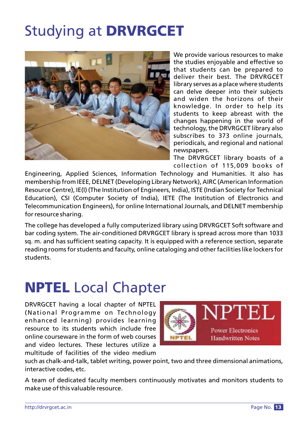## Studying at DRVRGCET



We provide various resources to make the studies enjoyable and effective so that students can be prepared to deliver their best. The DRVRGCET library serves as a place where students can delve deeper into their subjects and widen the horizons of their knowledge. In order to help its students to keep abreast with the changes happening in the world of technology, the DRVRGCET library also subscribes to 373 online journals, periodicals, and regional and national newspapers.

The DRVRGCET library boasts of a collection of 115,009 books of

Engineering, Applied Sciences, Information Technology and Humanities. It also has membership from IEEE, DELNET (Developing Library Network), AIRC (American Information Resource Centre), IE(I) (The Institution of Engineers, India), ISTE (Indian Society for Technical Education), CSI (Computer Society of India), IETE (The Institution of Electronics and Telecommunication Engineers), for online International Journals, and DELNET membership for resource sharing.

The college has developed a fully computerized library using DRVRGCET Soft software and bar coding system. The air-conditioned DRVRGCET library is spread across more than 1033 sq. m. and has sufficient seating capacity. It is equipped with a reference section, separate reading rooms for students and faculty, online cataloging and other facilities like lockers for students.

## NPTEL Local Chapter

DRVRGCET having a local chapter of NPTEL (National Programme on Technology enhanced learning) provides learning resource to its students which include free online courseware in the form of web courses and video lectures. These lectures utilize a multitude of facilities of the video medium



such as chalk-and-talk, tablet writing, power point, two and three dimensional animations, interactive codes, etc.

A team of dedicated faculty members continuously motivates and monitors students to make use of this valuable resource.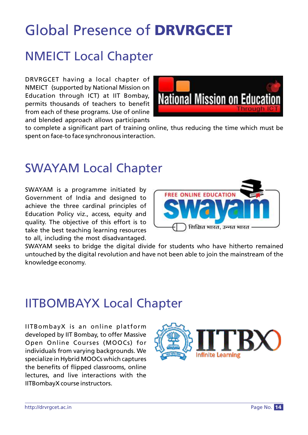## Global Presence of DRVRGCET

## NMEICT Local Chapter

DRVRGCET having a local chapter of NMEICT (supported by National Mission on Education through ICT) at IIT Bombay, permits thousands of teachers to benefit from each of these programs. Use of online and blended approach allows participants



to complete a significant part of training online, thus reducing the time which must be spent on face-to face synchronous interaction.

## SWAYAM Local Chapter

SWAYAM is a programme initiated by Government of India and designed to achieve the three cardinal principles of Education Policy viz., access, equity and quality. The objective of this effort is to take the best teaching learning resources to all, including the most disadvantaged.



SWAYAM seeks to bridge the digital divide for students who have hitherto remained untouched by the digital revolution and have not been able to join the mainstream of the knowledge economy.

## IITBOMBAYX Local Chapter

IITBombayX is an online platform developed by IIT Bombay, to offer Massive Open Online Courses (MOOCs) for individuals from varying backgrounds. We specialize in Hybrid MOOCs which captures the benefits of flipped classrooms, online lectures, and live interactions with the IITBombayX course instructors.

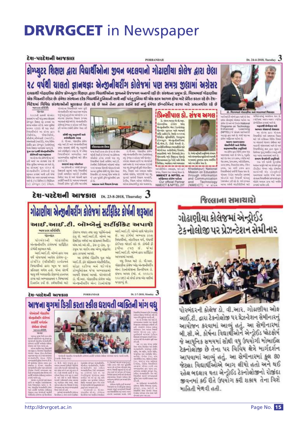## DRVRGCET in Newspaper

#### દેશ-પરદેશની આજકાલ

डीसीच्यंस, धीळडीसीचे,<br>चीजीचे,चीचेशसी (भारती),

simized (setti), via Nim<br>siehe em singe: behörtig<br>fan fang savani wrij 6

versets the reserve

 $\begin{array}{l} \text{where} \hspace{0.1cm} \text{where} \hspace{0.1cm} \text{where} \hspace{0.1cm} \text{where} \hspace{0.1cm} \text{where} \hspace{0.1cm} \text{where} \hspace{0.1cm} \text{where} \hspace{0.1cm} \text{where} \hspace{0.1cm} \text{where} \hspace{0.1cm} \text{where} \hspace{0.1cm} \text{where} \hspace{0.1cm} \text{where} \hspace{0.1cm} \text{where} \hspace{0.1cm} \text{where} \hspace{0.1cm} \text{where} \hspace{0.1cm} \text{$ 

we've don't in 4

the arthur sewering are tark the

માં સંસ્થમાં જૂન 1013 પી<br>મેન્જનીયરીય કોલેજની પણ<br>શુમ્હન કરામાં મારી હતી જેમાં

February services provide services

unisk (4.) fabru (4.) bilban<br>(4.) storger (4.) Afnan.

Dr. 24-4-2018, Tuesday 3

જોકોન્સમનું આવેલન જય છે.<br>દર્શ્વીલયાં આજન્સભગ સ્પોર્ટમ

.<br>બફારથી સેપીનાર પ د

went Matrix daws

want vincent wet 6 wi

विद्यापीकोर्नु काम ३०१ भूम्स ।<br>जिपेण्ड पूर्व् भवीत्य रामलुं नर्

के अनाफ के अंगो अनुसिधनी

.<br>આ ગરે લોકો પુરસ્કાર<br>શુર્કેશના સ્વામિત્ર આવ

 $\begin{tabular}{l|c|c|c|c|c|c|c|c} \hline \textbf{G} & \textbf{G} & \textbf{G} & \textbf{G} & \textbf{G} & \textbf{G} & \textbf{G} & \textbf{G} & \textbf{G} & \textbf{G} & \textbf{G} & \textbf{G} & \textbf{G} & \textbf{G} & \textbf{G} & \textbf{G} & \textbf{G} & \textbf{G} & \textbf{G} & \textbf{G} & \textbf{G} & \textbf{G} & \textbf{G} & \textbf{G} & \textbf{G} & \textbf{G} & \textbf{G} & \textbf{$ 

લોકોને મનલાન કરવા માટે આવેલ<br>કરવામાં આવેલ હતી.

WA MAN

He wish and with

indifferent services

s). Revoud sharefur bed octooted Record

with the risk for Elseba-

.<br>આ લોકાણનો બોરપાત પાડિયો અન<br>જિન્દ કે અને બે ઉપરાંત National

ograme on Technology

(NPTEL) V WAN HOME!

મદાજી હાર માર્ગ છે. જેની પણ આ<br>કોંગેજ ઓફિલ્મ્સ પાર્ટનર છે.

-<br>असम-असम काम्ब<br>अक्टोबी अंज मिनिस्क

**apaceufits uyfasil**<br>muide an hfware va<br>muni not 6 shu i, upfa

માટે તો એન્ડ રામ કરવા રવારે પાર્ટ

ALLING, JON 1994, AGESTONIA,

 $\begin{array}{ll} \mbox{new, from } \mathcal{M} & \mbox{new, for} \\ \mbox{new, on } \mathcal{M} & \mbox{new, for} \\ \mbox{new, on } \mathcal{M} & \mbox{new, on} \\ \mbox{two, so, so} \end{array}$ 

Learning

#### **PORRANDAR**

## કોમ્પ્યુટર શિક્ષણ દ્વારા વિદ્યાર્થીઓના જીવન બદલવાનો ગોઢાણીયા કોલેજ દ્વારા છેલા ૨૮ વર્ષથી ચાલતો જ્ઞાનચજ્ઞઃ એન્જીનીચરીંગ કોલેજમાં પણ સમગ્ર જીલામાં અગ્રેસર

દાયકાથી ગોઢાણીયા કોલેજ કોમ્પ્યુટર શિક્ષણ દ્વારા વિદ્યાર્થીઓના જીવનને ઉજજવળ બનાવી રહી છેઃ સંસ્થાના પ્રમુખ ડો. વિરમભાઈ ગોઢાણીયા એક વિઝનરી લીડર છેઃ હંમેશા સંસ્થાના દરેક વિદ્યાર્થીને દુનિયાની સાથે નહીં પરંતુ દુનિયા થી એક કદમ આગળ હોવા માટે પ્રેરિત કરતા રહે છેઃ દેશ-વિદેશમાં વિવિધ સંસ્થાઓની મુલાકાત લેતા રહે છે અને તેના દ્વારા કઈને કઈ નવું હંમેશા ઈમ્પ્લીમેન્ટ કરવા માટે પ્રચત્નશીલ રહે છે www.webfa

## પ્રિન્સીપાલ ડો. સંજય અગલ

dillo-**WE** 

**E** Gilba, verkes vik verste or from part

NMEICT & NPTEL (IIT)

3. How work of d. ver. siarebus historiku state has<br>historika historiku<br>historika upana hukumumi  $\begin{array}{|l|} \hline \text{on } \partial \Omega \text{on } \text{non-weak} \cup \text{on} \\ \hline \text{on } \partial \text{on } \text{on } \text{non-local} \setminus \text{Gumb.} \\ \text{second} \cup \text{on } \text{non-local} \setminus \text{non-local} \\ \hline \text{in } \text{real} \setminus \text{on } \text{local} \setminus \text{non-local} \end{array}$ 

and definite secure, where NMEICT & NPTEL 41 ailfean abha uillea.<br>Our official Partner

will sales it. most every set | પેલિકિક મુનિવર્સિટી, ઉદાવસમાં<br>| કોકપ્યુટર - એન્જીનીયરીયમાં<br>| વી.એમ.ટી. ડીસી મેળવી છે. **Roomed is life with road** 

and



 $\frac{1}{2} \frac{1}{2} \frac{1}{2} \frac{1}{2} \frac{1}{2} \frac{1}{2} \frac{1}{2} \frac{1}{2} \frac{1}{2} \frac{1}{2} \frac{1}{2} \frac{1}{2} \frac{1}{2} \frac{1}{2} \frac{1}{2} \frac{1}{2} \frac{1}{2} \frac{1}{2} \frac{1}{2} \frac{1}{2} \frac{1}{2} \frac{1}{2} \frac{1}{2} \frac{1}{2} \frac{1}{2} \frac{1}{2} \frac{1}{2} \frac{1}{2} \frac{1}{2} \frac{1}{2} \frac{1}{2} \frac{$ 

Khadakpur) National<br>Mission on Education<br>through information<br>and Communication Technology<br>CTI Y NTIN (NMEICT)

 $\begin{array}{l} \text{where} \ \text{of} \ \text{in} \ \text{with} \ \text{and} \\ \text{of} \ \text{in} \ \text{in} \ \text{in} \ \text{in} \ \text{in} \ \text{in} \\ \text{isomorphism} \ \text{in} \ \text{in} \ \text{in} \ \text{in} \ \text{in} \ \text{in} \\ \text{in} \ \text{in} \ \text{in} \ \text{in} \ \text{in} \ \text{in} \ \text{in} \ \text{in} \ \text{in} \ \text{in} \\ \text{in} \ \text{in} \ \text{in} \ \text{in} \ \text{in} \ \text{in} \ \$ 

જિલ્લાના સમાચારો ગોઢાણીયા કોલેજમાં એન્ડ્રોઈડ ટેકનોલોજી પર પ્રેઝન્ટેશન સેમીનાર



પોરબંદરની કોલેજ ડો. વી.આર. ગોઢાણીયા ઓક આઈ.ટી. દ્વારા ટેકનોલોજી ૫૨ પ્રેઝન્ટેશન સેમીનારનું આયોજન કરવામાં આવ્યું હતું. આ સેમીનારમાં બી.સી.એ. કોર્ષના વિદ્યાર્થીઓને એન્ડ્રોઈડ પ્લેટફોર્મ જે આયુનિક સમયમાં સૌથી વધુ ઉપયોગી મોબાઈલ ટેક્નોલોજી છે તેના પર વિવિધ ક્ષેત્રે માર્ગદર્શન આપવામાં આવ્યું હતું. આ સેમીનારમાં કુલ 80 જેટલા વિદ્યાર્થીઓએ ભાગ લીધો હતો અને થઈ રહેલ બદલાવ થતા એન્ડ્રોઈડ ટેકનોલોજીનો રોજીંદા જીવનમાં કઈ રીતે ઉપયોગ કરી શકાય તેના વિશે માહિતી મેળવી હતી.



પ્રપાસિકી કોલ હોય છે પર તો મોન<br>મોની રેક્ટી કરે છે ગયારે આ કોર્પણ<br>મીસીમે: કરેલા ગામથી ગણા ગયુ<br>રિપ્રદર્શિને રેક્ટી સર્વિયા મારડેરી  $\frac{1}{\sqrt{2}}$  is not a set that is a set that sell with 6, And Adulus 1006  $\begin{array}{l} \text{as a set of, } \forall n \text{ and } n \text{ is odd} \\ \text{vs. } \text{Gauss of } \text{al} \rightarrow \text{S, } \text{Gauss} \\ \text{as a set of } \text{Gauss} \rightarrow \text{Gauss} \\ \text{as a set of } \text{Gauss} \rightarrow \text{Gauss} \\ \text{as a set of } \text{Gauss} \rightarrow \text{Gauss} \\ \text{Semi and } \text{Gauss} \rightarrow \text{Gauss} \\ \text{in} \text{Gauss} \rightarrow \text{Gauss} \\ \text{in} \text{Gauss} \rightarrow \text{Gauss} \end{array}$ 

 $\begin{array}{l} \mbox{Suchy (full) and which will be a given by}\\ \mbox{true mean (local) should be a given by}\\ \mbox{true and (full) of the value of}\\ \mbox{true and (full) to the value of}\\ \mbox{true and (full) of the value of}\\ \mbox{true and (full) of the value of}\\ \mbox{true and (full) of the value of}\\ \mbox{true and (full) of the value of}\\ \mbox{true and (full) of the value of}\\ \mbox{true and (full) of the value of}\\ \mbox{true and (full) of the value of}\\ \mbox{true and (full) of the value of}\\ \mbox{true and (full) of the value of}\\ \mbox{true and (full) of the value of}\\ \mbox{true and (full) of the value$ **Internet and Firman Brunt** 

visite from heavy visdajetu sistvas .<br>આર્મ જ અર્ટે પંતુ સ્થર સંસ્થા<br>સંખ્યા વિશર થઇ રહ્યા જ સુધીમાં<br>મંગા બાંસર રહી છે. બાજ સુધીમાં sized pulse functions<br>wand sixed and pulled<br>integrate a size of the ગામમાં ૧૦૦૦ શ્રી પણ ગામને<br>વિદ્યાર્થીઓને આ સંસ્થા શ્રમ<br>ડીસીએસ, પીજી ડીસીએ, ä

## सीधी पधु अलुकाची अले<br>इम्रोडीइवॉड स्टाइ

 $\begin{array}{c} \text{solid paths} \text{ sets} \\ \text{if, one, double input} \\ \text{all, each of the double} \\ \text{see, some most of the type} \\ \text{see, some of the type} \\ \text{see, the type} \\ \text{in the type} \\ \text{in the type} \\ \text{in the type} \\ \text{in the type} \\ \text{in the type} \\ \text{in the type} \\ \text{in the type} \\ \text{in the type} \\ \text{in the type} \\ \text{in the type} \\ \text{in the type} \\ \text{in the type} \\ \text{in the type} \\ \text{in the type} \\ \text{in the type} \\ \text{in the type} \\ \text{in the type} \\ \text{in the type} \\ \text{$ Fencillated severiles and worden wilsel all the

 $\sim$ i<br/>80 or vid from  $\mu$  in the control of the fraction of<br/>  $\mu$  is the control of  $\mu$ lists we s see sind are and if need it has no reserve Point sity yll shi woold

morei aus viterier.

દેશ-પરદેશની આજકાલ Dt. 23-8-2018, Thursday  $3$ 

#### ગોઢાણીયા એન્જીનીયરીંગ કોલેજમાં સર્ટીફીકેટ કોર્ષની શરૂઆત આઈ.આઈ.ટી. બોમ્બેનું સર્ટીફીકેટ અપાશે WARD ALTER sticke ins fortie ft. Institute प्रोक्षक्य वधारा तथा साउँ पर्शनिन्तानी

એમ.ઓ.ઓ.સી., કેસ-ટુ-કેસ, પુ-

 $\vec{B}$ , an airful annual saint હેતુ છે. આઈ.આઈ.ટી. બોમ્બે આ विद्यार्थीઓ, नोકरीयान कर्न, एंग्रामी शैक्षणिक वर्षमां આ प्रांत्रामनं मिनीडिंड કોઈપણ જોડાઈ શકે છે. કોર્પની ફી  $34141$   $640$   $8$ .  $\vec{w}$  at टबुअ पर शार्टव तथा अंत्यु सोइवरेर .<br>આઈ.આઈ.સે. બોમ્બે હારા સર્ટીફિકેટ आपवासी अल्पर्श. આ કોર્પમાં ઈક્રેક્ટીય પુરુ ઓફ

पत्रु विकास माहे हो, वी.आह. ગોરાણીયા કોલેજ ઓફ એન્જીનીયરીંગ એન્ડ ટેકનોલોજીના પ્રિન્સીપાલ ડો. संबंध अन्नय (मो. नं. ७७२८२ ૯૨૮૭૦) નો સંપર્ક કરવા એક ધાદીમાં **VEND 19.** 

आई आई.टी. ऑम्બे ढास गया द्रारा उरवामां आपसे વર્ષે મોજવામાં આવેલ કોલેજ-ટુ-कोर्योदेट (सीसीसी) कार्यक्रमने

આઈ.ટી. કોર પ્રોફેશનલ એકટીવીટીઝ, विद्यार्थीઓ इस्ता भूल ९ सारी સાફટ સ્કીલ્સ અને વર્ડપ્લસ lingic new fise time ancelle કોમ્પનિકેશન જેવા અભ્યાસકર્યો પાયુ વર્ષે વ્યવસાયીક કોશભ્યો હસ્તગત स्थानरी सेवामां स्वायते. पोरव्यंदरनी કરવા માટે અભ્યાસક્રમને ૨ વિભાગમાં છે. જીંગલર, આંશાલીમાં શેરોજ અનેક ડિઝાઈન કર્યો છે. કર્યાચારીઓ માટે એન્જીનીયરીંગ એન્ડ ટેકનોલોજી

villangica

अन्छनीयरीय अविषयां सर्वसिंग्ट

કોર્પની શરૂઆત થશે.

पांस्लंदरनी भोडाएसेंसा



http://drvrqcet.ac.in **Page No. 15** Page No. 15